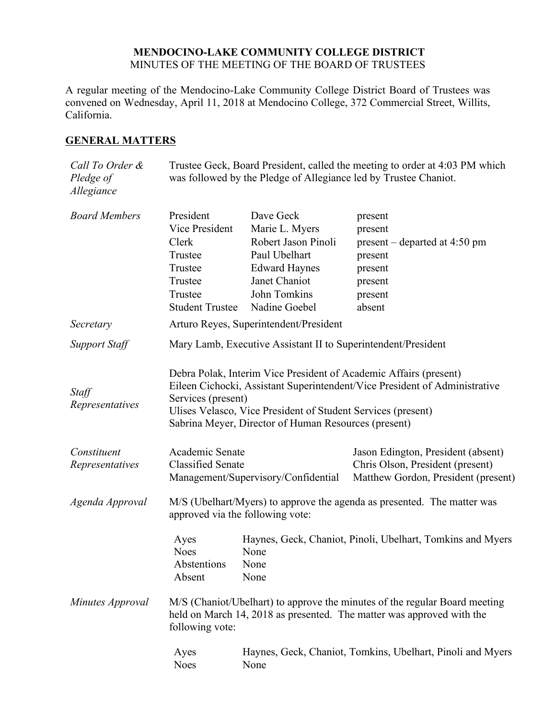## **MENDOCINO-LAKE COMMUNITY COLLEGE DISTRICT** MINUTES OF THE MEETING OF THE BOARD OF TRUSTEES

A regular meeting of the Mendocino-Lake Community College District Board of Trustees was convened on Wednesday, April 11, 2018 at Mendocino College, 372 Commercial Street, Willits, California.

## **GENERAL MATTERS**

| Call To Order &<br>Pledge of<br>Allegiance | Trustee Geck, Board President, called the meeting to order at 4:03 PM which<br>was followed by the Pledge of Allegiance led by Trustee Chaniot.                                                                                                                                               |                                                                                                                                               |                                                                                                               |  |
|--------------------------------------------|-----------------------------------------------------------------------------------------------------------------------------------------------------------------------------------------------------------------------------------------------------------------------------------------------|-----------------------------------------------------------------------------------------------------------------------------------------------|---------------------------------------------------------------------------------------------------------------|--|
| <b>Board Members</b>                       | President<br>Vice President<br>Clerk<br>Trustee<br>Trustee<br>Trustee<br>Trustee<br><b>Student Trustee</b>                                                                                                                                                                                    | Dave Geck<br>Marie L. Myers<br>Robert Jason Pinoli<br>Paul Ubelhart<br><b>Edward Haynes</b><br>Janet Chaniot<br>John Tomkins<br>Nadine Goebel | present<br>present<br>$present$ – departed at 4:50 pm<br>present<br>present<br>present<br>present<br>absent   |  |
| Secretary                                  | Arturo Reyes, Superintendent/President                                                                                                                                                                                                                                                        |                                                                                                                                               |                                                                                                               |  |
| <b>Support Staff</b>                       | Mary Lamb, Executive Assistant II to Superintendent/President                                                                                                                                                                                                                                 |                                                                                                                                               |                                                                                                               |  |
| Staff<br>Representatives                   | Debra Polak, Interim Vice President of Academic Affairs (present)<br>Eileen Cichocki, Assistant Superintendent/Vice President of Administrative<br>Services (present)<br>Ulises Velasco, Vice President of Student Services (present)<br>Sabrina Meyer, Director of Human Resources (present) |                                                                                                                                               |                                                                                                               |  |
| Constituent<br>Representatives             | Academic Senate<br><b>Classified Senate</b><br>Management/Supervisory/Confidential                                                                                                                                                                                                            |                                                                                                                                               | Jason Edington, President (absent)<br>Chris Olson, President (present)<br>Matthew Gordon, President (present) |  |
| Agenda Approval                            | M/S (Ubelhart/Myers) to approve the agenda as presented. The matter was<br>approved via the following vote:                                                                                                                                                                                   |                                                                                                                                               |                                                                                                               |  |
|                                            | Ayes<br><b>Noes</b><br>Abstentions<br>Absent                                                                                                                                                                                                                                                  | None<br>None<br>None                                                                                                                          | Haynes, Geck, Chaniot, Pinoli, Ubelhart, Tomkins and Myers                                                    |  |
| Minutes Approval                           | M/S (Chaniot/Ubelhart) to approve the minutes of the regular Board meeting<br>held on March 14, 2018 as presented. The matter was approved with the<br>following vote:                                                                                                                        |                                                                                                                                               |                                                                                                               |  |
|                                            | Ayes<br><b>Noes</b>                                                                                                                                                                                                                                                                           | None                                                                                                                                          | Haynes, Geck, Chaniot, Tomkins, Ubelhart, Pinoli and Myers                                                    |  |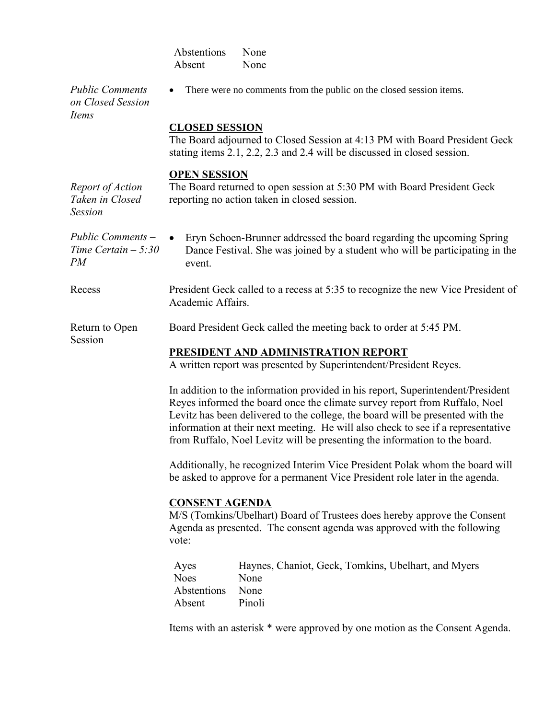|                                                       | Abstentions<br>None<br>Absent<br>None                                                                                                                                                                                                                                                                                                                                                                             |  |  |  |
|-------------------------------------------------------|-------------------------------------------------------------------------------------------------------------------------------------------------------------------------------------------------------------------------------------------------------------------------------------------------------------------------------------------------------------------------------------------------------------------|--|--|--|
| <b>Public Comments</b><br>on Closed Session<br>Items  | There were no comments from the public on the closed session items.                                                                                                                                                                                                                                                                                                                                               |  |  |  |
|                                                       | <b>CLOSED SESSION</b><br>The Board adjourned to Closed Session at 4:13 PM with Board President Geck<br>stating items 2.1, 2.2, 2.3 and 2.4 will be discussed in closed session.                                                                                                                                                                                                                                   |  |  |  |
| Report of Action<br>Taken in Closed<br><b>Session</b> | <b>OPEN SESSION</b><br>The Board returned to open session at 5:30 PM with Board President Geck<br>reporting no action taken in closed session.                                                                                                                                                                                                                                                                    |  |  |  |
| Public Comments –<br>Time Certain $-5:30$<br>PM       | Eryn Schoen-Brunner addressed the board regarding the upcoming Spring<br>Dance Festival. She was joined by a student who will be participating in the<br>event.                                                                                                                                                                                                                                                   |  |  |  |
| Recess                                                | President Geck called to a recess at 5:35 to recognize the new Vice President of<br>Academic Affairs.                                                                                                                                                                                                                                                                                                             |  |  |  |
| Return to Open                                        | Board President Geck called the meeting back to order at 5:45 PM.                                                                                                                                                                                                                                                                                                                                                 |  |  |  |
| Session                                               | PRESIDENT AND ADMINISTRATION REPORT<br>A written report was presented by Superintendent/President Reyes.                                                                                                                                                                                                                                                                                                          |  |  |  |
|                                                       | In addition to the information provided in his report, Superintendent/President<br>Reyes informed the board once the climate survey report from Ruffalo, Noel<br>Levitz has been delivered to the college, the board will be presented with the<br>information at their next meeting. He will also check to see if a representative<br>from Ruffalo, Noel Levitz will be presenting the information to the board. |  |  |  |
|                                                       | Additionally, he recognized Interim Vice President Polak whom the board will<br>be asked to approve for a permanent Vice President role later in the agenda.                                                                                                                                                                                                                                                      |  |  |  |
|                                                       | <b>CONSENT AGENDA</b><br>M/S (Tomkins/Ubelhart) Board of Trustees does hereby approve the Consent<br>Agenda as presented. The consent agenda was approved with the following<br>vote:                                                                                                                                                                                                                             |  |  |  |
|                                                       | Haynes, Chaniot, Geck, Tomkins, Ubelhart, and Myers<br>Ayes<br><b>Noes</b><br>None<br>Abstentions<br>None<br>Absent<br>Pinoli                                                                                                                                                                                                                                                                                     |  |  |  |

Items with an asterisk \* were approved by one motion as the Consent Agenda.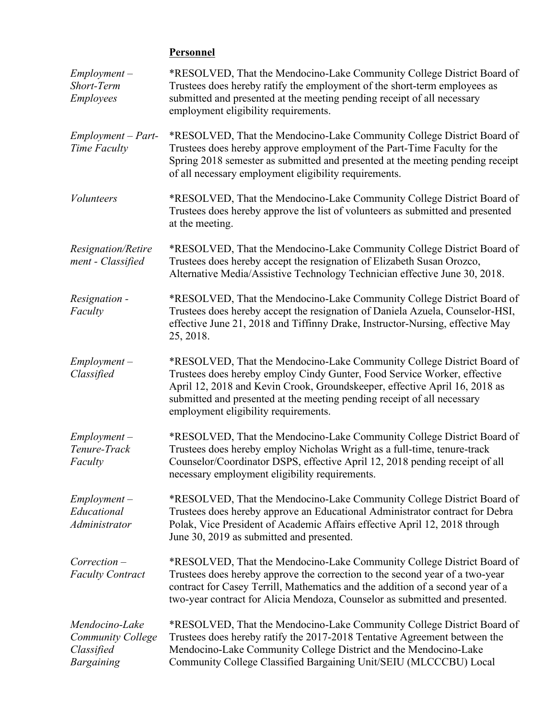## **Personnel**

| $Employment -$<br>Short-Term<br><b>Employees</b>                              | *RESOLVED, That the Mendocino-Lake Community College District Board of<br>Trustees does hereby ratify the employment of the short-term employees as<br>submitted and presented at the meeting pending receipt of all necessary<br>employment eligibility requirements.                                                                              |  |
|-------------------------------------------------------------------------------|-----------------------------------------------------------------------------------------------------------------------------------------------------------------------------------------------------------------------------------------------------------------------------------------------------------------------------------------------------|--|
| $Employment - Part-$<br>Time Faculty                                          | *RESOLVED, That the Mendocino-Lake Community College District Board of<br>Trustees does hereby approve employment of the Part-Time Faculty for the<br>Spring 2018 semester as submitted and presented at the meeting pending receipt<br>of all necessary employment eligibility requirements.                                                       |  |
| <b>Volunteers</b>                                                             | *RESOLVED, That the Mendocino-Lake Community College District Board of<br>Trustees does hereby approve the list of volunteers as submitted and presented<br>at the meeting.                                                                                                                                                                         |  |
| Resignation/Retire<br>ment - Classified                                       | *RESOLVED, That the Mendocino-Lake Community College District Board of<br>Trustees does hereby accept the resignation of Elizabeth Susan Orozco,<br>Alternative Media/Assistive Technology Technician effective June 30, 2018.                                                                                                                      |  |
| Resignation -<br>Faculty                                                      | *RESOLVED, That the Mendocino-Lake Community College District Board of<br>Trustees does hereby accept the resignation of Daniela Azuela, Counselor-HSI,<br>effective June 21, 2018 and Tiffinny Drake, Instructor-Nursing, effective May<br>25, 2018.                                                                                               |  |
| $Employment -$<br>Classified                                                  | *RESOLVED, That the Mendocino-Lake Community College District Board of<br>Trustees does hereby employ Cindy Gunter, Food Service Worker, effective<br>April 12, 2018 and Kevin Crook, Groundskeeper, effective April 16, 2018 as<br>submitted and presented at the meeting pending receipt of all necessary<br>employment eligibility requirements. |  |
| $Employment -$<br>Tenure-Track<br>Faculty                                     | *RESOLVED, That the Mendocino-Lake Community College District Board of<br>Trustees does hereby employ Nicholas Wright as a full-time, tenure-track<br>Counselor/Coordinator DSPS, effective April 12, 2018 pending receipt of all<br>necessary employment eligibility requirements.                                                                 |  |
| $Employment -$<br>Educational<br>Administrator                                | *RESOLVED, That the Mendocino-Lake Community College District Board of<br>Trustees does hereby approve an Educational Administrator contract for Debra<br>Polak, Vice President of Academic Affairs effective April 12, 2018 through<br>June 30, 2019 as submitted and presented.                                                                   |  |
| $Correction -$<br><b>Faculty Contract</b>                                     | *RESOLVED, That the Mendocino-Lake Community College District Board of<br>Trustees does hereby approve the correction to the second year of a two-year<br>contract for Casey Terrill, Mathematics and the addition of a second year of a<br>two-year contract for Alicia Mendoza, Counselor as submitted and presented.                             |  |
| Mendocino-Lake<br><b>Community College</b><br>Classified<br><b>Bargaining</b> | *RESOLVED, That the Mendocino-Lake Community College District Board of<br>Trustees does hereby ratify the 2017-2018 Tentative Agreement between the<br>Mendocino-Lake Community College District and the Mendocino-Lake<br>Community College Classified Bargaining Unit/SEIU (MLCCCBU) Local                                                        |  |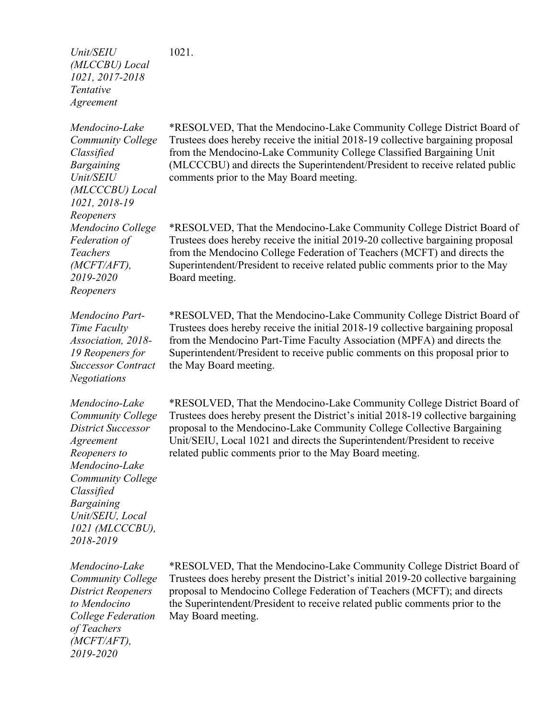*Unit/SEIU (MLCCBU) Local 1021, 2017-2018 Tentative Agreement* 1021.

*Mendocino-Lake Community College Classified Bargaining Unit/SEIU (MLCCCBU) Local 1021, 2018-19 Reopeners Mendocino College Federation of Teachers (MCFT/AFT), 2019-2020 Reopeners*

*Mendocino Part-Time Faculty Association, 2018- 19 Reopeners for Successor Contract Negotiations*

*Mendocino-Lake Community College District Successor Agreement Reopeners to Mendocino-Lake Community College Classified Bargaining Unit/SEIU, Local 1021 (MLCCCBU), 2018-2019*

*Mendocino-Lake Community College District Reopeners to Mendocino College Federation of Teachers (MCFT/AFT), 2019-2020*

\*RESOLVED, That the Mendocino-Lake Community College District Board of Trustees does hereby receive the initial 2018-19 collective bargaining proposal from the Mendocino-Lake Community College Classified Bargaining Unit (MLCCCBU) and directs the Superintendent/President to receive related public comments prior to the May Board meeting.

\*RESOLVED, That the Mendocino-Lake Community College District Board of Trustees does hereby receive the initial 2019-20 collective bargaining proposal from the Mendocino College Federation of Teachers (MCFT) and directs the Superintendent/President to receive related public comments prior to the May Board meeting.

\*RESOLVED, That the Mendocino-Lake Community College District Board of Trustees does hereby receive the initial 2018-19 collective bargaining proposal from the Mendocino Part-Time Faculty Association (MPFA) and directs the Superintendent/President to receive public comments on this proposal prior to the May Board meeting.

\*RESOLVED, That the Mendocino-Lake Community College District Board of Trustees does hereby present the District's initial 2018-19 collective bargaining proposal to the Mendocino-Lake Community College Collective Bargaining Unit/SEIU, Local 1021 and directs the Superintendent/President to receive related public comments prior to the May Board meeting.

\*RESOLVED, That the Mendocino-Lake Community College District Board of Trustees does hereby present the District's initial 2019-20 collective bargaining proposal to Mendocino College Federation of Teachers (MCFT); and directs the Superintendent/President to receive related public comments prior to the May Board meeting.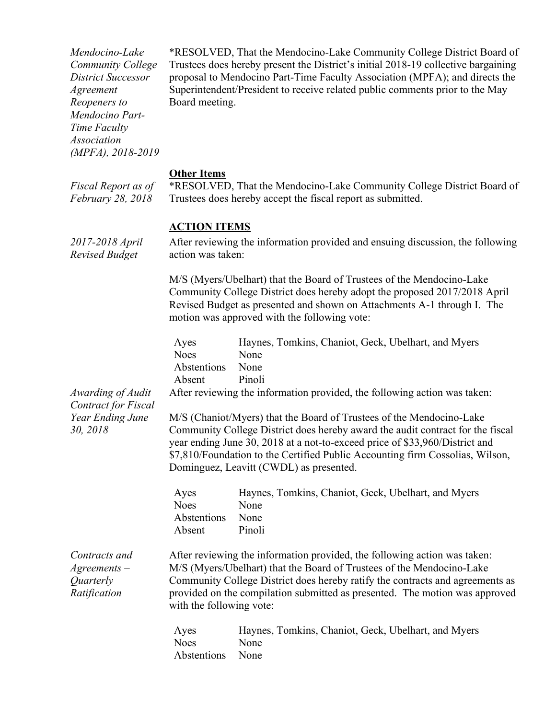*Mendocino-Lake Community College District Successor Agreement Reopeners to Mendocino Part-Time Faculty Association (MPFA), 2018-2019* \*RESOLVED, That the Mendocino-Lake Community College District Board of Trustees does hereby present the District's initial 2018-19 collective bargaining proposal to Mendocino Part-Time Faculty Association (MPFA); and directs the Superintendent/President to receive related public comments prior to the May Board meeting. **Other Items** *Fiscal Report as of February 28, 2018* \*RESOLVED, That the Mendocino-Lake Community College District Board of Trustees does hereby accept the fiscal report as submitted. **ACTION ITEMS** *2017-2018 April Revised Budget* After reviewing the information provided and ensuing discussion, the following action was taken: M/S (Myers/Ubelhart) that the Board of Trustees of the Mendocino-Lake Community College District does hereby adopt the proposed 2017/2018 April Revised Budget as presented and shown on Attachments A-1 through I. The motion was approved with the following vote: Ayes Haynes, Tomkins, Chaniot, Geck, Ubelhart, and Myers Noes None Abstentions None Absent Pinoli *Awarding of Audit Contract for Fiscal Year Ending June 30, 2018* After reviewing the information provided, the following action was taken: M/S (Chaniot/Myers) that the Board of Trustees of the Mendocino-Lake Community College District does hereby award the audit contract for the fiscal year ending June 30, 2018 at a not-to-exceed price of \$33,960/District and \$7,810/Foundation to the Certified Public Accounting firm Cossolias, Wilson, Dominguez, Leavitt (CWDL) as presented. Ayes Haynes, Tomkins, Chaniot, Geck, Ubelhart, and Myers Noes None Abstentions None Absent Pinoli *Contracts and Agreements – Quarterly Ratification* After reviewing the information provided, the following action was taken: M/S (Myers/Ubelhart) that the Board of Trustees of the Mendocino-Lake Community College District does hereby ratify the contracts and agreements as provided on the compilation submitted as presented. The motion was approved with the following vote: Ayes Haynes, Tomkins, Chaniot, Geck, Ubelhart, and Myers Noes None Abstentions None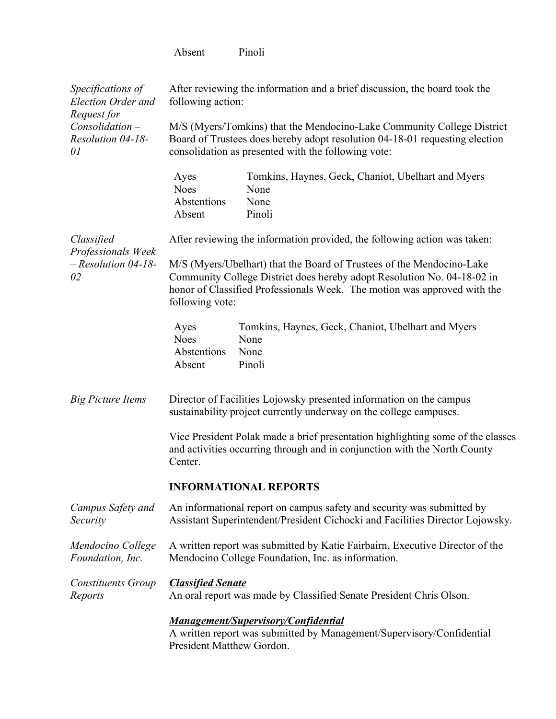|                                                                 | Absent                                                                                                                                                                                                                                          | Pinoli                                                                                                                                                                                                       |  |  |
|-----------------------------------------------------------------|-------------------------------------------------------------------------------------------------------------------------------------------------------------------------------------------------------------------------------------------------|--------------------------------------------------------------------------------------------------------------------------------------------------------------------------------------------------------------|--|--|
| Specifications of<br><b>Election Order and</b><br>Request for   | After reviewing the information and a brief discussion, the board took the<br>following action:                                                                                                                                                 |                                                                                                                                                                                                              |  |  |
| Consolidation-<br>Resolution 04-18-<br>01                       |                                                                                                                                                                                                                                                 | M/S (Myers/Tomkins) that the Mendocino-Lake Community College District<br>Board of Trustees does hereby adopt resolution 04-18-01 requesting election<br>consolidation as presented with the following vote: |  |  |
|                                                                 | Ayes<br><b>Noes</b><br>Abstentions<br>Absent                                                                                                                                                                                                    | Tomkins, Haynes, Geck, Chaniot, Ubelhart and Myers<br>None<br>None<br>Pinoli                                                                                                                                 |  |  |
| Classified<br>Professionals Week<br>$-$ Resolution 04-18-<br>02 |                                                                                                                                                                                                                                                 | After reviewing the information provided, the following action was taken:                                                                                                                                    |  |  |
|                                                                 | M/S (Myers/Ubelhart) that the Board of Trustees of the Mendocino-Lake<br>Community College District does hereby adopt Resolution No. 04-18-02 in<br>honor of Classified Professionals Week. The motion was approved with the<br>following vote: |                                                                                                                                                                                                              |  |  |
|                                                                 | Ayes<br><b>Noes</b><br>Abstentions<br>Absent                                                                                                                                                                                                    | Tomkins, Haynes, Geck, Chaniot, Ubelhart and Myers<br>None<br>None<br>Pinoli                                                                                                                                 |  |  |
| <b>Big Picture Items</b>                                        | Director of Facilities Lojowsky presented information on the campus<br>sustainability project currently underway on the college campuses.                                                                                                       |                                                                                                                                                                                                              |  |  |
|                                                                 | Vice President Polak made a brief presentation highlighting some of the classes<br>and activities occurring through and in conjunction with the North County<br>Center.                                                                         |                                                                                                                                                                                                              |  |  |
|                                                                 | <b>INFORMATIONAL REPORTS</b>                                                                                                                                                                                                                    |                                                                                                                                                                                                              |  |  |
| Campus Safety and<br>Security                                   | An informational report on campus safety and security was submitted by<br>Assistant Superintendent/President Cichocki and Facilities Director Lojowsky.                                                                                         |                                                                                                                                                                                                              |  |  |
| Mendocino College<br>Foundation, Inc.                           | A written report was submitted by Katie Fairbairn, Executive Director of the<br>Mendocino College Foundation, Inc. as information.                                                                                                              |                                                                                                                                                                                                              |  |  |
| <b>Constituents Group</b><br>Reports                            | <b>Classified Senate</b><br>An oral report was made by Classified Senate President Chris Olson.                                                                                                                                                 |                                                                                                                                                                                                              |  |  |
|                                                                 | <b>Management/Supervisory/Confidential</b><br>A written report was submitted by Management/Supervisory/Confidential<br>President Matthew Gordon.                                                                                                |                                                                                                                                                                                                              |  |  |